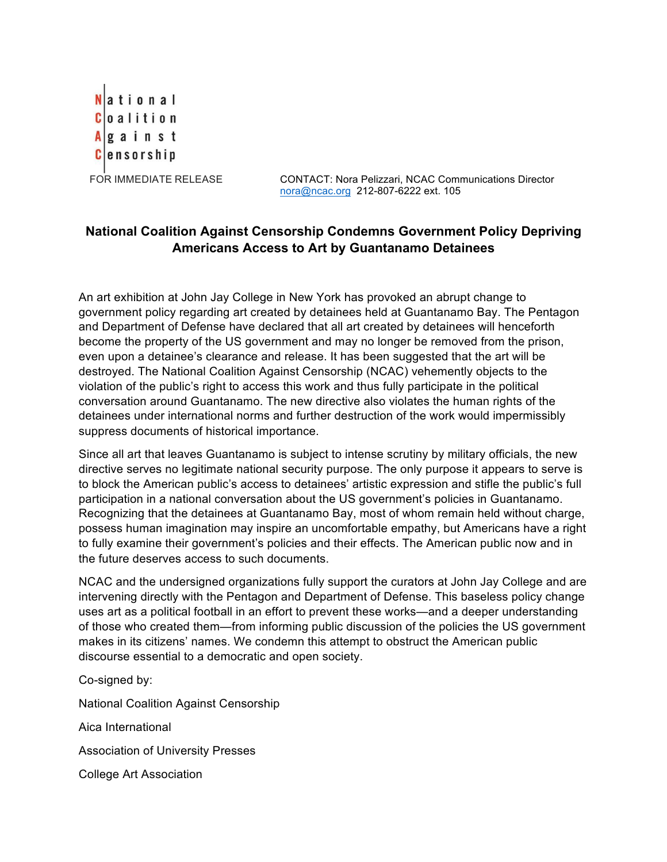National **Coalition**  $A$  g a i n s t **C**ensorship

FOR IMMEDIATE RELEASE CONTACT: Nora Pelizzari, NCAC Communications Director nora@ncac.org 212-807-6222 ext. 105

## **National Coalition Against Censorship Condemns Government Policy Depriving Americans Access to Art by Guantanamo Detainees**

An art exhibition at John Jay College in New York has provoked an abrupt change to government policy regarding art created by detainees held at Guantanamo Bay. The Pentagon and Department of Defense have declared that all art created by detainees will henceforth become the property of the US government and may no longer be removed from the prison, even upon a detainee's clearance and release. It has been suggested that the art will be destroyed. The National Coalition Against Censorship (NCAC) vehemently objects to the violation of the public's right to access this work and thus fully participate in the political conversation around Guantanamo. The new directive also violates the human rights of the detainees under international norms and further destruction of the work would impermissibly suppress documents of historical importance.

Since all art that leaves Guantanamo is subject to intense scrutiny by military officials, the new directive serves no legitimate national security purpose. The only purpose it appears to serve is to block the American public's access to detainees' artistic expression and stifle the public's full participation in a national conversation about the US government's policies in Guantanamo. Recognizing that the detainees at Guantanamo Bay, most of whom remain held without charge, possess human imagination may inspire an uncomfortable empathy, but Americans have a right to fully examine their government's policies and their effects. The American public now and in the future deserves access to such documents.

NCAC and the undersigned organizations fully support the curators at John Jay College and are intervening directly with the Pentagon and Department of Defense. This baseless policy change uses art as a political football in an effort to prevent these works—and a deeper understanding of those who created them—from informing public discussion of the policies the US government makes in its citizens' names. We condemn this attempt to obstruct the American public discourse essential to a democratic and open society.

Co-signed by:

National Coalition Against Censorship

Aica International

Association of University Presses

College Art Association